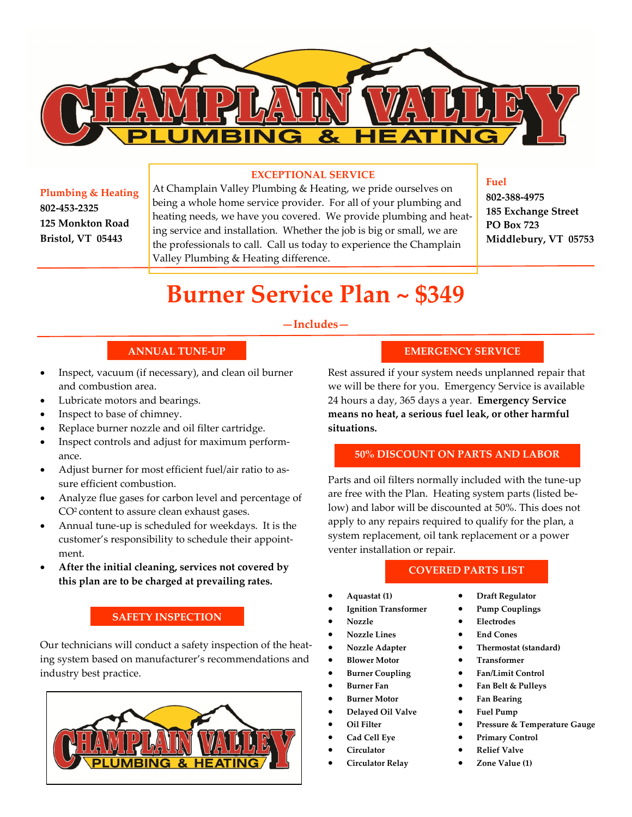

#### **EXCEPTIONAL SERVICE**

**Plumbing & Heating 802-453-2325 125 Monkton Road Bristol, VT 05443**

At Champlain Valley Plumbing & Heating, we pride ourselves on being a whole home service provider. For all of your plumbing and heating needs, we have you covered. We provide plumbing and heating service and installation. Whether the job is big or small, we are the professionals to call. Call us today to experience the Champlain Valley Plumbing & Heating difference.

## **Fuel**

**802-388-4975 185 Exchange Street PO Box 723 Middlebury, VT 05753** 

# **Burner Service Plan ~ \$349**

### **—Includes—**

## **ANNUAL TUNE-UP**

- Inspect, vacuum (if necessary), and clean oil burner and combustion area.
- Lubricate motors and bearings.
- Inspect to base of chimney.
- Replace burner nozzle and oil filter cartridge.
- Inspect controls and adjust for maximum performance.
- Adjust burner for most efficient fuel/air ratio to assure efficient combustion.
- Analyze flue gases for carbon level and percentage of CO2 content to assure clean exhaust gases.
- Annual tune-up is scheduled for weekdays. It is the customer's responsibility to schedule their appointment.
- **After the initial cleaning, services not covered by this plan are to be charged at prevailing rates.**

## **SAFETY INSPECTION**

Our technicians will conduct a safety inspection of the heating system based on manufacturer's recommendations and industry best practice.



## **EMERGENCY SERVICE**

Rest assured if your system needs unplanned repair that we will be there for you. Emergency Service is available 24 hours a day, 365 days a year. **Emergency Service means no heat, a serious fuel leak, or other harmful situations.**

## **50% DISCOUNT ON PARTS AND LABOR**

Parts and oil filters normally included with the tune-up are free with the Plan. Heating system parts (listed below) and labor will be discounted at 50%. This does not apply to any repairs required to qualify for the plan, a system replacement, oil tank replacement or a power venter installation or repair.

### **COVERED PARTS LIST**

- **Aquastat (1)**
- **Ignition Transformer**
- **Nozzle**
- **Nozzle Lines**
- **Nozzle Adapter**
- **Blower Motor**
- **Burner Coupling**
- **Burner Fan**
- **Burner Motor**
- **Delayed Oil Valve**
- **Oil Filter**
- **Cad Cell Eye**
- **Circulator**
- **Circulator Relay**
- **Draft Regulator**
- **Pump Couplings**
- **Electrodes**
- **End Cones**
- **Thermostat (standard)**
- **Transformer**
- **Fan/Limit Control**
- **Fan Belt & Pulleys**
- **Fan Bearing**
- **Fuel Pump**
- **Pressure & Temperature Gauge**
- **Primary Control**
- **Relief Valve**
- **Zone Value (1)**